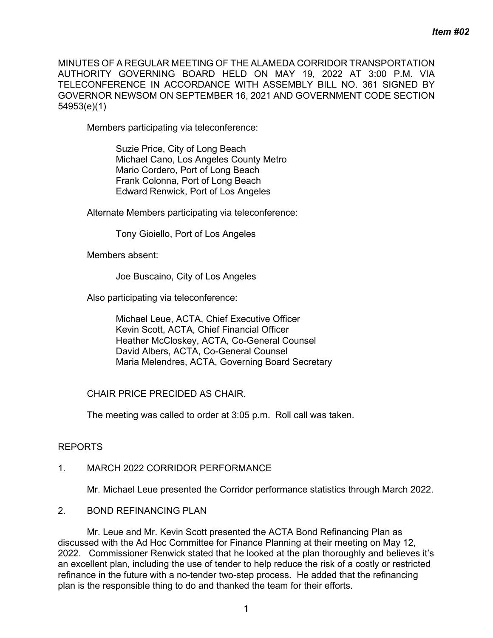MINUTES OF A REGULAR MEETING OF THE ALAMEDA CORRIDOR TRANSPORTATION AUTHORITY GOVERNING BOARD HELD ON MAY 19, 2022 AT 3:00 P.M. VIA TELECONFERENCE IN ACCORDANCE WITH ASSEMBLY BILL NO. 361 SIGNED BY GOVERNOR NEWSOM ON SEPTEMBER 16, 2021 AND GOVERNMENT CODE SECTION 54953(e)(1)

Members participating via teleconference:

Suzie Price, City of Long Beach Michael Cano, Los Angeles County Metro Mario Cordero, Port of Long Beach Frank Colonna, Port of Long Beach Edward Renwick, Port of Los Angeles

Alternate Members participating via teleconference:

Tony Gioiello, Port of Los Angeles

Members absent:

Joe Buscaino, City of Los Angeles

Also participating via teleconference:

Michael Leue, ACTA, Chief Executive Officer Kevin Scott, ACTA, Chief Financial Officer Heather McCloskey, ACTA, Co-General Counsel David Albers, ACTA, Co-General Counsel Maria Melendres, ACTA, Governing Board Secretary

## CHAIR PRICE PRECIDED AS CHAIR.

The meeting was called to order at 3:05 p.m. Roll call was taken.

## REPORTS

## 1. MARCH 2022 CORRIDOR PERFORMANCE

Mr. Michael Leue presented the Corridor performance statistics through March 2022.

# 2. BOND REFINANCING PLAN

Mr. Leue and Mr. Kevin Scott presented the ACTA Bond Refinancing Plan as discussed with the Ad Hoc Committee for Finance Planning at their meeting on May 12, 2022. Commissioner Renwick stated that he looked at the plan thoroughly and believes it's an excellent plan, including the use of tender to help reduce the risk of a costly or restricted refinance in the future with a no-tender two-step process. He added that the refinancing plan is the responsible thing to do and thanked the team for their efforts.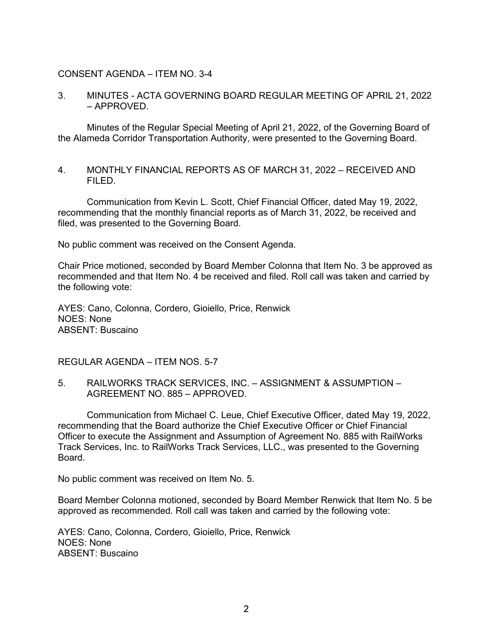## CONSENT AGENDA – ITEM NO. 3-4

## 3. MINUTES - ACTA GOVERNING BOARD REGULAR MEETING OF APRIL 21, 2022 – APPROVED.

Minutes of the Regular Special Meeting of April 21, 2022, of the Governing Board of the Alameda Corridor Transportation Authority, were presented to the Governing Board.

4. MONTHLY FINANCIAL REPORTS AS OF MARCH 31, 2022 – RECEIVED AND FILED.

Communication from Kevin L. Scott, Chief Financial Officer, dated May 19, 2022, recommending that the monthly financial reports as of March 31, 2022, be received and filed, was presented to the Governing Board.

No public comment was received on the Consent Agenda.

Chair Price motioned, seconded by Board Member Colonna that Item No. 3 be approved as recommended and that Item No. 4 be received and filed. Roll call was taken and carried by the following vote:

AYES: Cano, Colonna, Cordero, Gioiello, Price, Renwick NOES: None ABSENT: Buscaino

REGULAR AGENDA – ITEM NOS. 5-7

5. RAILWORKS TRACK SERVICES, INC. – ASSIGNMENT & ASSUMPTION – AGREEMENT NO. 885 – APPROVED.

Communication from Michael C. Leue, Chief Executive Officer, dated May 19, 2022, recommending that the Board authorize the Chief Executive Officer or Chief Financial Officer to execute the Assignment and Assumption of Agreement No. 885 with RailWorks Track Services, Inc. to RailWorks Track Services, LLC., was presented to the Governing Board.

No public comment was received on Item No. 5.

Board Member Colonna motioned, seconded by Board Member Renwick that Item No. 5 be approved as recommended. Roll call was taken and carried by the following vote:

AYES: Cano, Colonna, Cordero, Gioiello, Price, Renwick NOES: None ABSENT: Buscaino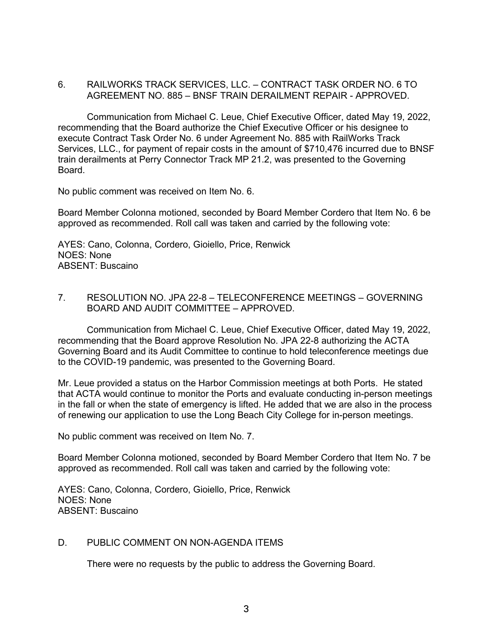## 6. RAILWORKS TRACK SERVICES, LLC. – CONTRACT TASK ORDER NO. 6 TO AGREEMENT NO. 885 – BNSF TRAIN DERAILMENT REPAIR - APPROVED.

Communication from Michael C. Leue, Chief Executive Officer, dated May 19, 2022, recommending that the Board authorize the Chief Executive Officer or his designee to execute Contract Task Order No. 6 under Agreement No. 885 with RailWorks Track Services, LLC., for payment of repair costs in the amount of \$710,476 incurred due to BNSF train derailments at Perry Connector Track MP 21.2, was presented to the Governing Board.

No public comment was received on Item No. 6.

Board Member Colonna motioned, seconded by Board Member Cordero that Item No. 6 be approved as recommended. Roll call was taken and carried by the following vote:

AYES: Cano, Colonna, Cordero, Gioiello, Price, Renwick NOES: None ABSENT: Buscaino

## 7. RESOLUTION NO. JPA 22-8 – TELECONFERENCE MEETINGS – GOVERNING BOARD AND AUDIT COMMITTEE – APPROVED.

Communication from Michael C. Leue, Chief Executive Officer, dated May 19, 2022, recommending that the Board approve Resolution No. JPA 22-8 authorizing the ACTA Governing Board and its Audit Committee to continue to hold teleconference meetings due to the COVID-19 pandemic, was presented to the Governing Board.

Mr. Leue provided a status on the Harbor Commission meetings at both Ports. He stated that ACTA would continue to monitor the Ports and evaluate conducting in-person meetings in the fall or when the state of emergency is lifted. He added that we are also in the process of renewing our application to use the Long Beach City College for in-person meetings.

No public comment was received on Item No. 7.

Board Member Colonna motioned, seconded by Board Member Cordero that Item No. 7 be approved as recommended. Roll call was taken and carried by the following vote:

AYES: Cano, Colonna, Cordero, Gioiello, Price, Renwick NOES: None ABSENT: Buscaino

## D. PUBLIC COMMENT ON NON-AGENDA ITEMS

There were no requests by the public to address the Governing Board.